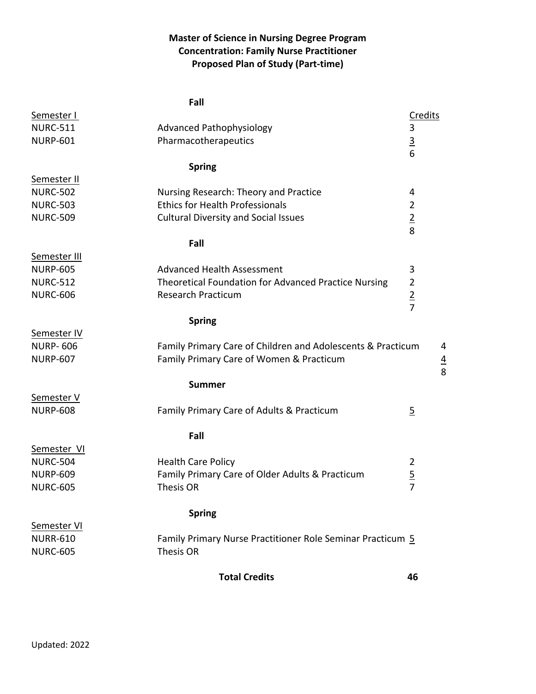## **Master of Science in Nursing Degree Program Concentration: Family Nurse Practitioner Proposed Plan of Study (Part-time)**

|                                    | Fall                                                                         |                                  |
|------------------------------------|------------------------------------------------------------------------------|----------------------------------|
| Semester I                         |                                                                              | Credits                          |
| <b>NURC-511</b>                    | <b>Advanced Pathophysiology</b>                                              | 3                                |
| <b>NURP-601</b>                    | Pharmacotherapeutics                                                         | $\frac{3}{6}$                    |
|                                    |                                                                              |                                  |
|                                    | <b>Spring</b>                                                                |                                  |
| Semester II                        |                                                                              |                                  |
| <b>NURC-502</b>                    | Nursing Research: Theory and Practice                                        | 4                                |
| <b>NURC-503</b>                    | <b>Ethics for Health Professionals</b>                                       | $\overline{2}$                   |
| <b>NURC-509</b>                    | <b>Cultural Diversity and Social Issues</b>                                  | $\frac{2}{8}$                    |
|                                    |                                                                              |                                  |
|                                    | Fall                                                                         |                                  |
| Semester III                       |                                                                              |                                  |
| <b>NURP-605</b>                    | <b>Advanced Health Assessment</b>                                            | 3                                |
| <b>NURC-512</b>                    | Theoretical Foundation for Advanced Practice Nursing                         | $\overline{2}$                   |
| <b>NURC-606</b>                    | <b>Research Practicum</b>                                                    | $rac{2}{7}$                      |
|                                    |                                                                              |                                  |
|                                    | <b>Spring</b>                                                                |                                  |
| Semester IV                        |                                                                              |                                  |
| <b>NURP-606</b>                    | Family Primary Care of Children and Adolescents & Practicum                  | 4                                |
| <b>NURP-607</b>                    | Family Primary Care of Women & Practicum                                     | $\frac{4}{8}$                    |
|                                    |                                                                              |                                  |
|                                    | <b>Summer</b>                                                                |                                  |
| Semester V                         |                                                                              |                                  |
| <b>NURP-608</b>                    | Family Primary Care of Adults & Practicum                                    | $\overline{5}$                   |
|                                    |                                                                              |                                  |
|                                    | Fall                                                                         |                                  |
| Semester VI                        |                                                                              | $\overline{2}$                   |
| <b>NURC-504</b><br><b>NURP-609</b> | <b>Health Care Policy</b><br>Family Primary Care of Older Adults & Practicum |                                  |
|                                    |                                                                              | $\overline{5}$<br>$\overline{7}$ |
| <b>NURC-605</b>                    | Thesis OR                                                                    |                                  |
|                                    | <b>Spring</b>                                                                |                                  |
| Semester VI                        |                                                                              |                                  |
| <b>NURR-610</b>                    | Family Primary Nurse Practitioner Role Seminar Practicum 5                   |                                  |
| <b>NURC-605</b>                    | Thesis OR                                                                    |                                  |
|                                    |                                                                              |                                  |
|                                    | <b>Total Credits</b>                                                         | 46                               |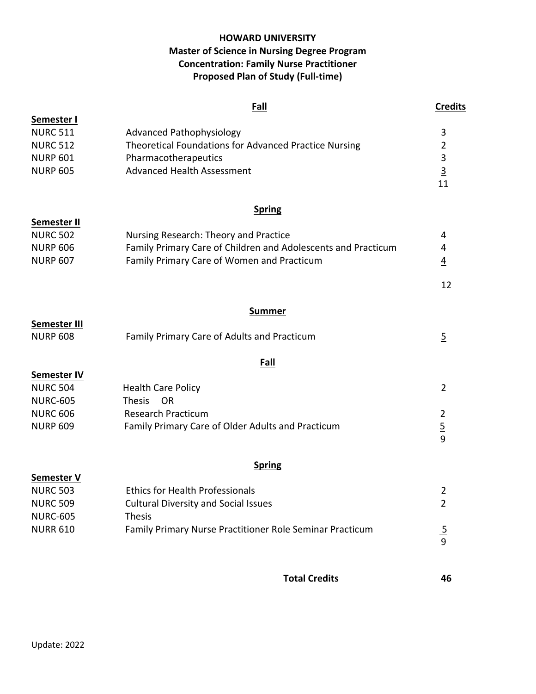## **HOWARD UNIVERSITY Master of Science in Nursing Degree Program Concentration: Family Nurse Practitioner Proposed Plan of Study (Full-time)**

|                    | Fall                                                          | <b>Credits</b> |
|--------------------|---------------------------------------------------------------|----------------|
| Semester I         |                                                               |                |
| <b>NURC 511</b>    | <b>Advanced Pathophysiology</b>                               | 3              |
| <b>NURC 512</b>    | Theoretical Foundations for Advanced Practice Nursing         | $\overline{2}$ |
| <b>NURP 601</b>    | Pharmacotherapeutics                                          | 3              |
| <b>NURP 605</b>    | <b>Advanced Health Assessment</b>                             | $\overline{3}$ |
|                    |                                                               | 11             |
|                    | <b>Spring</b>                                                 |                |
| Semester II        |                                                               |                |
| <b>NURC 502</b>    | Nursing Research: Theory and Practice                         | 4              |
| <b>NURP 606</b>    | Family Primary Care of Children and Adolescents and Practicum | 4              |
| <b>NURP 607</b>    | Family Primary Care of Women and Practicum                    | $\overline{4}$ |
|                    |                                                               | 12             |
|                    | <b>Summer</b>                                                 |                |
| Semester III       |                                                               |                |
| <b>NURP 608</b>    | Family Primary Care of Adults and Practicum                   | $\overline{5}$ |
|                    | Fall                                                          |                |
| <b>Semester IV</b> |                                                               |                |
| <b>NURC 504</b>    | <b>Health Care Policy</b>                                     | $\overline{2}$ |
| <b>NURC-605</b>    | <b>Thesis</b><br><b>OR</b>                                    |                |
| <b>NURC 606</b>    | <b>Research Practicum</b>                                     | $\overline{2}$ |
| <b>NURP 609</b>    | Family Primary Care of Older Adults and Practicum             | $rac{5}{9}$    |
|                    |                                                               |                |
|                    | <b>Spring</b>                                                 |                |
| Semester V         |                                                               |                |
| <b>NURC 503</b>    | <b>Ethics for Health Professionals</b>                        | 2              |
| <b>NURC 509</b>    | <b>Cultural Diversity and Social Issues</b>                   | $\overline{2}$ |
| <b>NURC-605</b>    | <b>Thesis</b>                                                 |                |
| <b>NURR 610</b>    | Family Primary Nurse Practitioner Role Seminar Practicum      | $rac{5}{9}$    |
|                    |                                                               |                |

**Total Credits 46**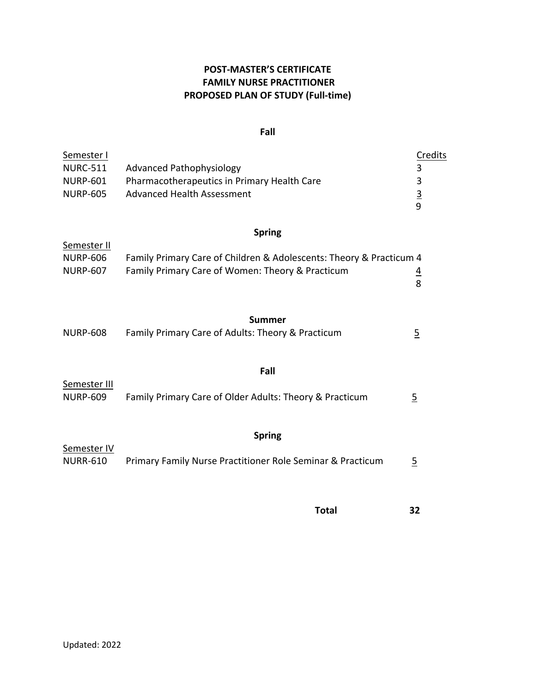# **POST-MASTER'S CERTIFICATE FAMILY NURSE PRACTITIONER PROPOSED PLAN OF STUDY (Full-time)**

#### **Fall**

| Semester I<br><b>NURC-511</b><br><b>NURP-601</b><br><b>NURP-605</b> | <b>Advanced Pathophysiology</b><br>Pharmacotherapeutics in Primary Health Care<br><b>Advanced Health Assessment</b>                      | Credits<br>3<br>3<br>$rac{3}{9}$ |
|---------------------------------------------------------------------|------------------------------------------------------------------------------------------------------------------------------------------|----------------------------------|
| Semester II<br><b>NURP-606</b><br><b>NURP-607</b>                   | <b>Spring</b><br>Family Primary Care of Children & Adolescents: Theory & Practicum 4<br>Family Primary Care of Women: Theory & Practicum | $\frac{4}{8}$                    |
| <b>NURP-608</b>                                                     | Summer<br>Family Primary Care of Adults: Theory & Practicum                                                                              | $\overline{5}$                   |
| Semester III<br><b>NURP-609</b>                                     | Fall<br>Family Primary Care of Older Adults: Theory & Practicum                                                                          | $\overline{2}$                   |
| Semester IV<br><b>NURR-610</b>                                      | <b>Spring</b><br>Primary Family Nurse Practitioner Role Seminar & Practicum                                                              | $\overline{5}$                   |
|                                                                     | <b>Total</b>                                                                                                                             | 32                               |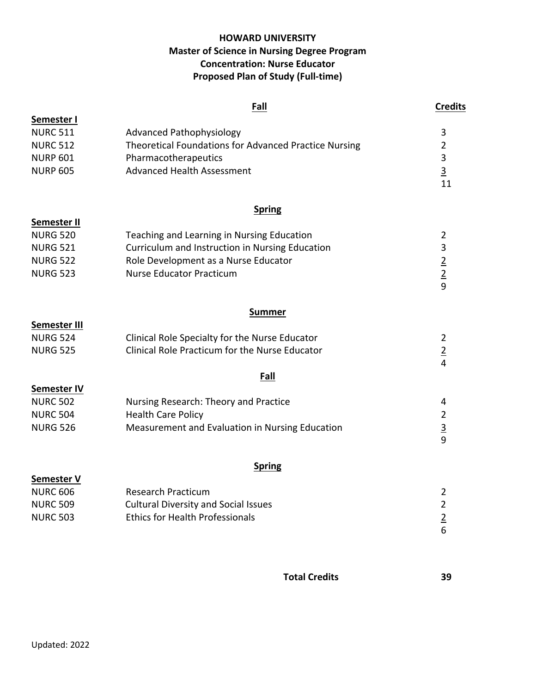## **HOWARD UNIVERSITY Master of Science in Nursing Degree Program Concentration: Nurse Educator Proposed Plan of Study (Full-time)**

|                    | Fall                                                  | <b>Credits</b>                   |
|--------------------|-------------------------------------------------------|----------------------------------|
| Semester I         |                                                       |                                  |
| <b>NURC 511</b>    | <b>Advanced Pathophysiology</b>                       | 3                                |
| <b>NURC 512</b>    | Theoretical Foundations for Advanced Practice Nursing | $\overline{2}$                   |
| <b>NURP 601</b>    | Pharmacotherapeutics                                  | 3                                |
| <b>NURP 605</b>    | <b>Advanced Health Assessment</b>                     | $\overline{3}$                   |
|                    |                                                       | 11                               |
|                    | <b>Spring</b>                                         |                                  |
| Semester II        |                                                       |                                  |
| <b>NURG 520</b>    | Teaching and Learning in Nursing Education            | $\overline{2}$                   |
| <b>NURG 521</b>    | Curriculum and Instruction in Nursing Education       | 3                                |
| <b>NURG 522</b>    | Role Development as a Nurse Educator                  | $\frac{2}{2}$                    |
| <b>NURG 523</b>    | <b>Nurse Educator Practicum</b>                       | 9                                |
|                    |                                                       |                                  |
|                    | <b>Summer</b>                                         |                                  |
| Semester III       |                                                       |                                  |
| <b>NURG 524</b>    | Clinical Role Specialty for the Nurse Educator        | $\overline{2}$                   |
| <b>NURG 525</b>    | Clinical Role Practicum for the Nurse Educator        | $\overline{2}$<br>$\overline{4}$ |
|                    | Fall                                                  |                                  |
| <b>Semester IV</b> |                                                       |                                  |
| <b>NURC 502</b>    | Nursing Research: Theory and Practice                 | 4                                |
| <b>NURC 504</b>    | <b>Health Care Policy</b>                             | $\overline{2}$                   |
| <b>NURG 526</b>    | Measurement and Evaluation in Nursing Education       | $\frac{3}{9}$                    |
|                    |                                                       |                                  |
|                    | <b>Spring</b>                                         |                                  |
| Semester V         |                                                       |                                  |
| <b>NURC 606</b>    | <b>Research Practicum</b>                             | 2                                |
| <b>NURC 509</b>    | <b>Cultural Diversity and Social Issues</b>           | $\overline{2}$                   |
| <b>NURC 503</b>    | <b>Ethics for Health Professionals</b>                | $\frac{2}{6}$                    |
|                    |                                                       |                                  |
|                    |                                                       |                                  |

**Total Credits 39**